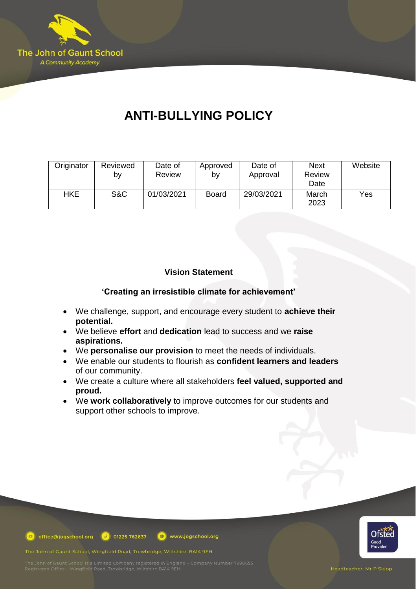

# **ANTI-BULLYING POLICY**

| Originator | Reviewed | Date of       | Approved     | Date of    | <b>Next</b>   | Website |
|------------|----------|---------------|--------------|------------|---------------|---------|
|            | b٧       | <b>Review</b> | b٧           | Approval   | Review        |         |
|            |          |               |              |            | Date          |         |
| <b>HKE</b> | S&C      | 01/03/2021    | <b>Board</b> | 29/03/2021 | March<br>2023 | Yes     |

## **Vision Statement**

**'Creating an irresistible climate for achievement'**

- We challenge, support, and encourage every student to **achieve their potential.**
- We believe **effort** and **dedication** lead to success and we **raise aspirations.**
- We **personalise our provision** to meet the needs of individuals.
- We enable our students to flourish as **confident learners and leaders** of our community.
- We create a culture where all stakeholders **feel valued, supported and proud.**
- We **work collaboratively** to improve outcomes for our students and support other schools to improve.



**D** office@jogschool.org  $\boxed{\theta}$  01225 762637 www.jogschool.org

The John of Gaunt School, Wingfield Road, Trowbridge, Wiltshire, BA14 9EH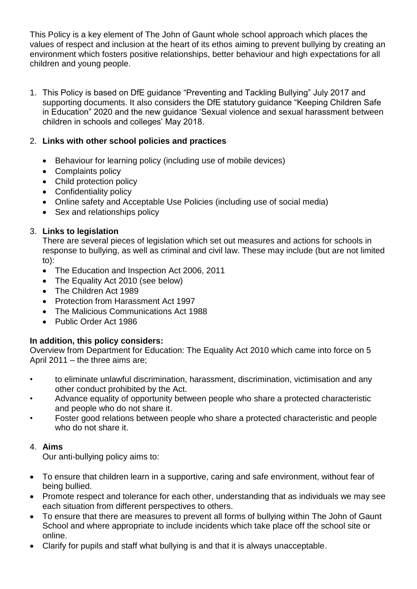This Policy is a key element of The John of Gaunt whole school approach which places the values of respect and inclusion at the heart of its ethos aiming to prevent bullying by creating an environment which fosters positive relationships, better behaviour and high expectations for all children and young people.

1. This Policy is based on DfE guidance "Preventing and Tackling Bullying" July 2017 and supporting documents. It also considers the DfE statutory guidance "Keeping Children Safe in Education" 2020 and the new guidance 'Sexual violence and sexual harassment between children in schools and colleges' May 2018.

## 2. **Links with other school policies and practices**

- Behaviour for learning policy (including use of mobile devices)
- Complaints policy
- Child protection policy
- Confidentiality policy
- Online safety and Acceptable Use Policies (including use of social media)
- Sex and relationships policy

## 3. **Links to legislation**

There are several pieces of legislation which set out measures and actions for schools in response to bullying, as well as criminal and civil law. These may include (but are not limited to):

- The Education and Inspection Act 2006, 2011
- The Equality Act 2010 (see below)
- The Children Act 1989
- Protection from Harassment Act 1997
- The Malicious Communications Act 1988
- Public Order Act 1986

## **In addition, this policy considers:**

Overview from Department for Education: The Equality Act 2010 which came into force on 5 April 2011 – the three aims are;

- to eliminate unlawful discrimination, harassment, discrimination, victimisation and any other conduct prohibited by the Act.
- Advance equality of opportunity between people who share a protected characteristic and people who do not share it.
- Foster good relations between people who share a protected characteristic and people who do not share it.

## 4. **Aims**

Our anti-bullying policy aims to:

- To ensure that children learn in a supportive, caring and safe environment, without fear of being bullied.
- Promote respect and tolerance for each other, understanding that as individuals we may see each situation from different perspectives to others.
- To ensure that there are measures to prevent all forms of bullying within The John of Gaunt School and where appropriate to include incidents which take place off the school site or online.
- Clarify for pupils and staff what bullying is and that it is always unacceptable.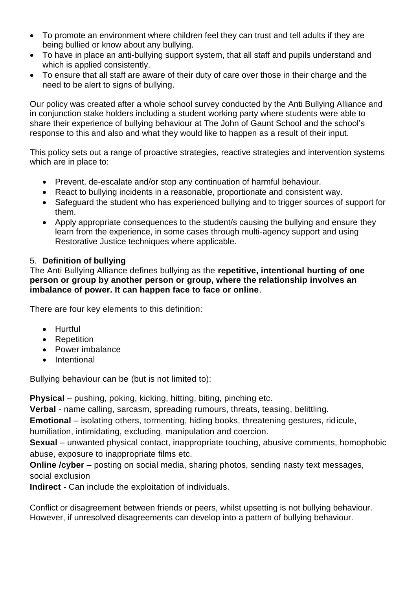- To promote an environment where children feel they can trust and tell adults if they are being bullied or know about any bullying.
- To have in place an anti-bullying support system, that all staff and pupils understand and which is applied consistently.
- To ensure that all staff are aware of their duty of care over those in their charge and the need to be alert to signs of bullying.

Our policy was created after a whole school survey conducted by the Anti Bullying Alliance and in conjunction stake holders including a student working party where students were able to share their experience of bullying behaviour at The John of Gaunt School and the school's response to this and also and what they would like to happen as a result of their input.

This policy sets out a range of proactive strategies, reactive strategies and intervention systems which are in place to:

- Prevent, de-escalate and/or stop any continuation of harmful behaviour.
- React to bullying incidents in a reasonable, proportionate and consistent way.
- Safeguard the student who has experienced bullying and to trigger sources of support for them.
- Apply appropriate consequences to the student/s causing the bullying and ensure they learn from the experience, in some cases through multi-agency support and using Restorative Justice techniques where applicable.

## 5. **Definition of bullying**

The Anti Bullying Alliance defines bullying as the **repetitive, intentional hurting of one person or group by another person or group, where the relationship involves an imbalance of power. It can happen face to face or online**.

There are four key elements to this definition:

- Hurtful
- Repetition
- Power imbalance
- Intentional

Bullying behaviour can be (but is not limited to):

**Physical** – pushing, poking, kicking, hitting, biting, pinching etc.

**Verbal** - name calling, sarcasm, spreading rumours, threats, teasing, belittling.

**Emotional** – isolating others, tormenting, hiding books, threatening gestures, ridicule,

humiliation, intimidating, excluding, manipulation and coercion.

**Sexual** – unwanted physical contact, inappropriate touching, abusive comments, homophobic abuse, exposure to inappropriate films etc.

**Online /cyber** – posting on social media, sharing photos, sending nasty text messages, social exclusion

**Indirect** - Can include the exploitation of individuals.

Conflict or disagreement between friends or peers, whilst upsetting is not bullying behaviour. However, if unresolved disagreements can develop into a pattern of bullying behaviour.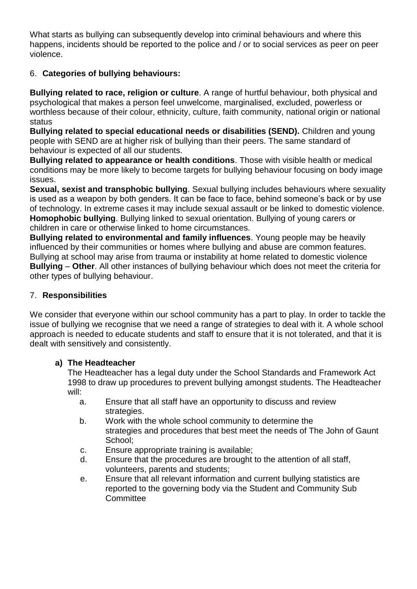What starts as bullying can subsequently develop into criminal behaviours and where this happens, incidents should be reported to the police and / or to social services as peer on peer violence.

## 6. **Categories of bullying behaviours:**

**Bullying related to race, religion or culture**. A range of hurtful behaviour, both physical and psychological that makes a person feel unwelcome, marginalised, excluded, powerless or worthless because of their colour, ethnicity, culture, faith community, national origin or national status

**Bullying related to special educational needs or disabilities (SEND).** Children and young people with SEND are at higher risk of bullying than their peers. The same standard of behaviour is expected of all our students.

**Bullying related to appearance or health conditions**. Those with visible health or medical conditions may be more likely to become targets for bullying behaviour focusing on body image issues.

**Sexual, sexist and transphobic bullying**. Sexual bullying includes behaviours where sexuality is used as a weapon by both genders. It can be face to face, behind someone's back or by use of technology. In extreme cases it may include sexual assault or be linked to domestic violence. **Homophobic bullying**. Bullying linked to sexual orientation. Bullying of young carers or children in care or otherwise linked to home circumstances.

**Bullying related to environmental and family influences**. Young people may be heavily influenced by their communities or homes where bullying and abuse are common features. Bullying at school may arise from trauma or instability at home related to domestic violence **Bullying** – **Other**. All other instances of bullying behaviour which does not meet the criteria for other types of bullying behaviour.

## 7. **Responsibilities**

We consider that everyone within our school community has a part to play. In order to tackle the issue of bullying we recognise that we need a range of strategies to deal with it. A whole school approach is needed to educate students and staff to ensure that it is not tolerated, and that it is dealt with sensitively and consistently.

## **a) The Headteacher**

The Headteacher has a legal duty under the School Standards and Framework Act 1998 to draw up procedures to prevent bullying amongst students. The Headteacher will:

- a. Ensure that all staff have an opportunity to discuss and review strategies.
- b. Work with the whole school community to determine the strategies and procedures that best meet the needs of The John of Gaunt School;
- c. Ensure appropriate training is available;
- d. Ensure that the procedures are brought to the attention of all staff, volunteers, parents and students;
- e. Ensure that all relevant information and current bullying statistics are reported to the governing body via the Student and Community Sub **Committee**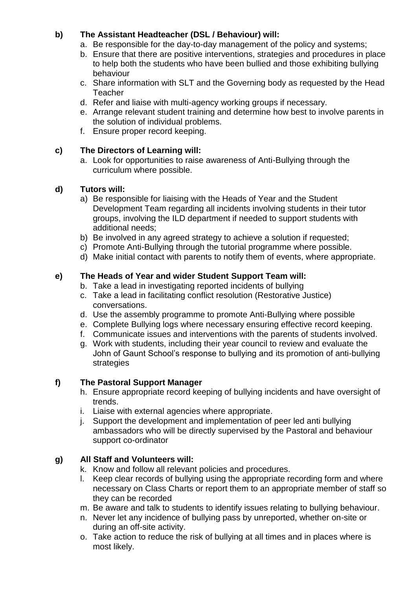## **b) The Assistant Headteacher (DSL / Behaviour) will:**

- a. Be responsible for the day-to-day management of the policy and systems;
- b. Ensure that there are positive interventions, strategies and procedures in place to help both the students who have been bullied and those exhibiting bullying behaviour
- c. Share information with SLT and the Governing body as requested by the Head Teacher
- d. Refer and liaise with multi-agency working groups if necessary.
- e. Arrange relevant student training and determine how best to involve parents in the solution of individual problems.
- f. Ensure proper record keeping.

## **c) The Directors of Learning will:**

a. Look for opportunities to raise awareness of Anti-Bullying through the curriculum where possible.

## **d) Tutors will:**

- a) Be responsible for liaising with the Heads of Year and the Student Development Team regarding all incidents involving students in their tutor groups, involving the ILD department if needed to support students with additional needs;
- b) Be involved in any agreed strategy to achieve a solution if requested;
- c) Promote Anti-Bullying through the tutorial programme where possible.
- d) Make initial contact with parents to notify them of events, where appropriate.

## **e) The Heads of Year and wider Student Support Team will:**

- b. Take a lead in investigating reported incidents of bullying
- c. Take a lead in facilitating conflict resolution (Restorative Justice) conversations.
- d. Use the assembly programme to promote Anti-Bullying where possible
- e. Complete Bullying logs where necessary ensuring effective record keeping.
- f. Communicate issues and interventions with the parents of students involved.
- g. Work with students, including their year council to review and evaluate the John of Gaunt School's response to bullying and its promotion of anti-bullying strategies

## **f) The Pastoral Support Manager**

- h. Ensure appropriate record keeping of bullying incidents and have oversight of trends.
- i. Liaise with external agencies where appropriate.
- j. Support the development and implementation of peer led anti bullying ambassadors who will be directly supervised by the Pastoral and behaviour support co-ordinator

## **g) All Staff and Volunteers will:**

- k. Know and follow all relevant policies and procedures.
- l. Keep clear records of bullying using the appropriate recording form and where necessary on Class Charts or report them to an appropriate member of staff so they can be recorded
- m. Be aware and talk to students to identify issues relating to bullying behaviour.
- n. Never let any incidence of bullying pass by unreported, whether on-site or during an off-site activity.
- o. Take action to reduce the risk of bullying at all times and in places where is most likely.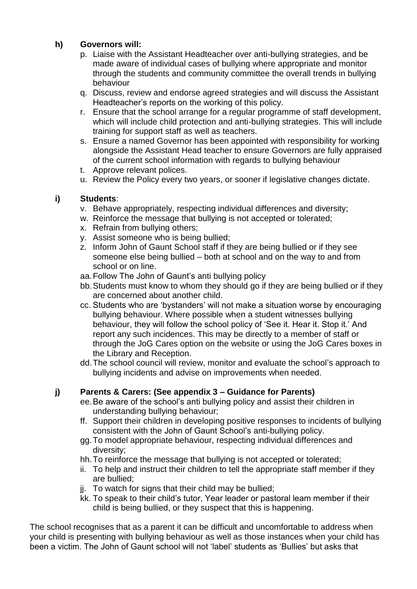## **h) Governors will:**

- p. Liaise with the Assistant Headteacher over anti-bullying strategies, and be made aware of individual cases of bullying where appropriate and monitor through the students and community committee the overall trends in bullying behaviour
- q. Discuss, review and endorse agreed strategies and will discuss the Assistant Headteacher's reports on the working of this policy.
- r. Ensure that the school arrange for a regular programme of staff development, which will include child protection and anti-bullying strategies. This will include training for support staff as well as teachers.
- s. Ensure a named Governor has been appointed with responsibility for working alongside the Assistant Head teacher to ensure Governors are fully appraised of the current school information with regards to bullying behaviour
- t. Approve relevant polices.
- u. Review the Policy every two years, or sooner if legislative changes dictate.

## **i) Students**:

- v. Behave appropriately, respecting individual differences and diversity;
- w. Reinforce the message that bullying is not accepted or tolerated;
- x. Refrain from bullying others;
- y. Assist someone who is being bullied;
- z. Inform John of Gaunt School staff if they are being bullied or if they see someone else being bullied – both at school and on the way to and from school or on line.
- aa.Follow The John of Gaunt's anti bullying policy
- bb.Students must know to whom they should go if they are being bullied or if they are concerned about another child.
- cc. Students who are 'bystanders' will not make a situation worse by encouraging bullying behaviour. Where possible when a student witnesses bullying behaviour, they will follow the school policy of 'See it. Hear it. Stop it.' And report any such incidences. This may be directly to a member of staff or through the JoG Cares option on the website or using the JoG Cares boxes in the Library and Reception.
- dd.The school council will review, monitor and evaluate the school's approach to bullying incidents and advise on improvements when needed.

## **j) Parents & Carers: (See appendix 3 – Guidance for Parents)**

- ee.Be aware of the school's anti bullying policy and assist their children in understanding bullying behaviour;
- ff. Support their children in developing positive responses to incidents of bullying consistent with the John of Gaunt School's anti-bullying policy.
- gg.To model appropriate behaviour, respecting individual differences and diversity;
- hh.To reinforce the message that bullying is not accepted or tolerated;
- ii. To help and instruct their children to tell the appropriate staff member if they are bullied;
- ji. To watch for signs that their child may be bullied;
- kk. To speak to their child's tutor, Year leader or pastoral leam member if their child is being bullied, or they suspect that this is happening.

The school recognises that as a parent it can be difficult and uncomfortable to address when your child is presenting with bullying behaviour as well as those instances when your child has been a victim. The John of Gaunt school will not 'label' students as 'Bullies' but asks that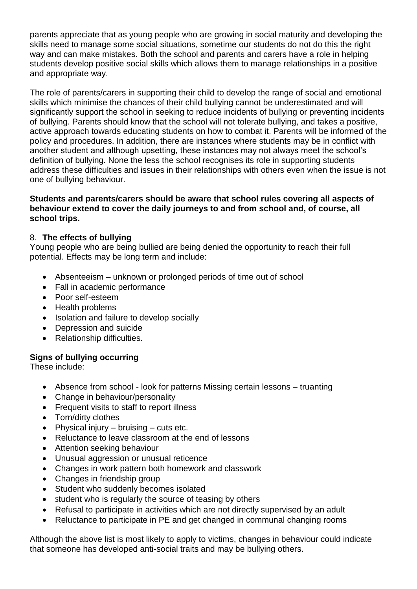parents appreciate that as young people who are growing in social maturity and developing the skills need to manage some social situations, sometime our students do not do this the right way and can make mistakes. Both the school and parents and carers have a role in helping students develop positive social skills which allows them to manage relationships in a positive and appropriate way.

The role of parents/carers in supporting their child to develop the range of social and emotional skills which minimise the chances of their child bullying cannot be underestimated and will significantly support the school in seeking to reduce incidents of bullying or preventing incidents of bullying. Parents should know that the school will not tolerate bullying, and takes a positive, active approach towards educating students on how to combat it. Parents will be informed of the policy and procedures. In addition, there are instances where students may be in conflict with another student and although upsetting, these instances may not always meet the school's definition of bullying. None the less the school recognises its role in supporting students address these difficulties and issues in their relationships with others even when the issue is not one of bullying behaviour.

#### **Students and parents/carers should be aware that school rules covering all aspects of behaviour extend to cover the daily journeys to and from school and, of course, all school trips.**

#### 8. **The effects of bullying**

Young people who are being bullied are being denied the opportunity to reach their full potential. Effects may be long term and include:

- Absenteeism unknown or prolonged periods of time out of school
- Fall in academic performance
- Poor self-esteem
- Health problems
- Isolation and failure to develop socially
- Depression and suicide
- Relationship difficulties.

## **Signs of bullying occurring**

These include:

- Absence from school look for patterns Missing certain lessons truanting
- Change in behaviour/personality
- Frequent visits to staff to report illness
- Torn/dirty clothes
- Physical injury bruising cuts etc.
- Reluctance to leave classroom at the end of lessons
- Attention seeking behaviour
- Unusual aggression or unusual reticence
- Changes in work pattern both homework and classwork
- Changes in friendship group
- Student who suddenly becomes isolated
- Student who is regularly the source of teasing by others
- Refusal to participate in activities which are not directly supervised by an adult
- Reluctance to participate in PE and get changed in communal changing rooms

Although the above list is most likely to apply to victims, changes in behaviour could indicate that someone has developed anti-social traits and may be bullying others.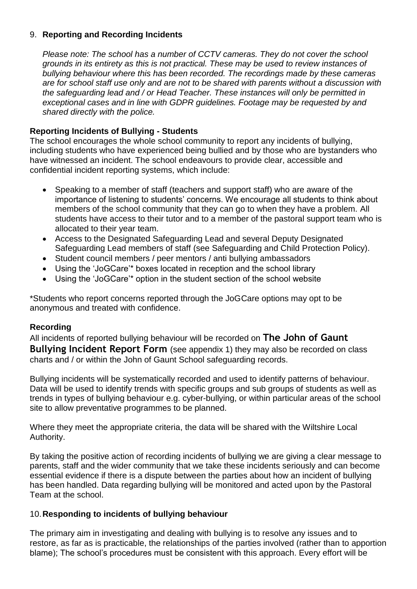#### 9. **Reporting and Recording Incidents**

*Please note: The school has a number of CCTV cameras. They do not cover the school grounds in its entirety as this is not practical. These may be used to review instances of bullying behaviour where this has been recorded. The recordings made by these cameras are for school staff use only and are not to be shared with parents without a discussion with the safeguarding lead and / or Head Teacher. These instances will only be permitted in exceptional cases and in line with GDPR guidelines. Footage may be requested by and shared directly with the police.* 

## **Reporting Incidents of Bullying - Students**

The school encourages the whole school community to report any incidents of bullying, including students who have experienced being bullied and by those who are bystanders who have witnessed an incident. The school endeavours to provide clear, accessible and confidential incident reporting systems, which include:

- Speaking to a member of staff (teachers and support staff) who are aware of the importance of listening to students' concerns. We encourage all students to think about members of the school community that they can go to when they have a problem. All students have access to their tutor and to a member of the pastoral support team who is allocated to their year team.
- Access to the Designated Safeguarding Lead and several Deputy Designated Safeguarding Lead members of staff (see Safeguarding and Child Protection Policy).
- Student council members / peer mentors / anti bullying ambassadors
- Using the 'JoGCare'\* boxes located in reception and the school library
- Using the 'JoGCare'\* option in the student section of the school website

\*Students who report concerns reported through the JoGCare options may opt to be anonymous and treated with confidence.

#### **Recording**

All incidents of reported bullying behaviour will be recorded on **The John of Gaunt Bullying Incident Report Form** (see appendix 1) they may also be recorded on class charts and / or within the John of Gaunt School safeguarding records.

Bullying incidents will be systematically recorded and used to identify patterns of behaviour. Data will be used to identify trends with specific groups and sub groups of students as well as trends in types of bullying behaviour e.g. cyber-bullying, or within particular areas of the school site to allow preventative programmes to be planned.

Where they meet the appropriate criteria, the data will be shared with the Wiltshire Local Authority.

By taking the positive action of recording incidents of bullying we are giving a clear message to parents, staff and the wider community that we take these incidents seriously and can become essential evidence if there is a dispute between the parties about how an incident of bullying has been handled. Data regarding bullying will be monitored and acted upon by the Pastoral Team at the school.

#### 10.**Responding to incidents of bullying behaviour**

The primary aim in investigating and dealing with bullying is to resolve any issues and to restore, as far as is practicable, the relationships of the parties involved (rather than to apportion blame); The school's procedures must be consistent with this approach. Every effort will be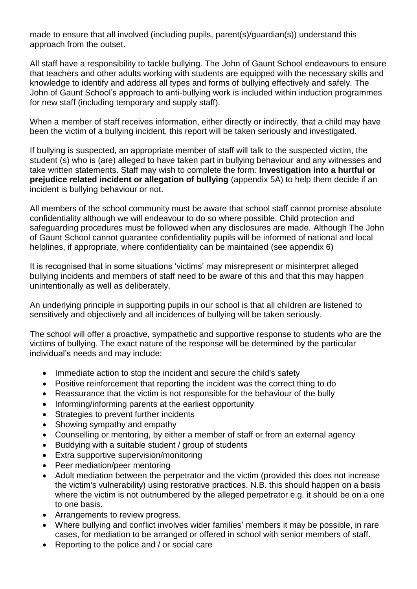made to ensure that all involved (including pupils, parent(s)/guardian(s)) understand this approach from the outset.

All staff have a responsibility to tackle bullying. The John of Gaunt School endeavours to ensure that teachers and other adults working with students are equipped with the necessary skills and knowledge to identify and address all types and forms of bullying effectively and safely. The John of Gaunt School's approach to anti-bullying work is included within induction programmes for new staff (including temporary and supply staff).

When a member of staff receives information, either directly or indirectly, that a child may have been the victim of a bullying incident, this report will be taken seriously and investigated.

If bullying is suspected, an appropriate member of staff will talk to the suspected victim, the student (s) who is (are) alleged to have taken part in bullying behaviour and any witnesses and take written statements. Staff may wish to complete the form*:* **Investigation into a hurtful or prejudice related incident or allegation of bullying** (appendix 5A) to help them decide if an incident is bullying behaviour or not.

All members of the school community must be aware that school staff cannot promise absolute confidentiality although we will endeavour to do so where possible. Child protection and safeguarding procedures must be followed when any disclosures are made. Although The John of Gaunt School cannot guarantee confidentiality pupils will be informed of national and local helplines, if appropriate, where confidentiality can be maintained (see appendix 6)

It is recognised that in some situations 'victims' may misrepresent or misinterpret alleged bullying incidents and members of staff need to be aware of this and that this may happen unintentionally as well as deliberately.

An underlying principle in supporting pupils in our school is that all children are listened to sensitively and objectively and all incidences of bullying will be taken seriously.

The school will offer a proactive, sympathetic and supportive response to students who are the victims of bullying. The exact nature of the response will be determined by the particular individual's needs and may include:

- Immediate action to stop the incident and secure the child's safety
- Positive reinforcement that reporting the incident was the correct thing to do
- Reassurance that the victim is not responsible for the behaviour of the bully
- Informing/informing parents at the earliest opportunity
- Strategies to prevent further incidents
- Showing sympathy and empathy
- Counselling or mentoring, by either a member of staff or from an external agency
- Buddying with a suitable student / group of students
- Extra supportive supervision/monitoring
- Peer mediation/peer mentoring
- Adult mediation between the perpetrator and the victim (provided this does not increase the victim's vulnerability) using restorative practices. N.B. this should happen on a basis where the victim is not outnumbered by the alleged perpetrator e.g. it should be on a one to one basis.
- Arrangements to review progress.
- Where bullying and conflict involves wider families' members it may be possible, in rare cases, for mediation to be arranged or offered in school with senior members of staff.
- Reporting to the police and / or social care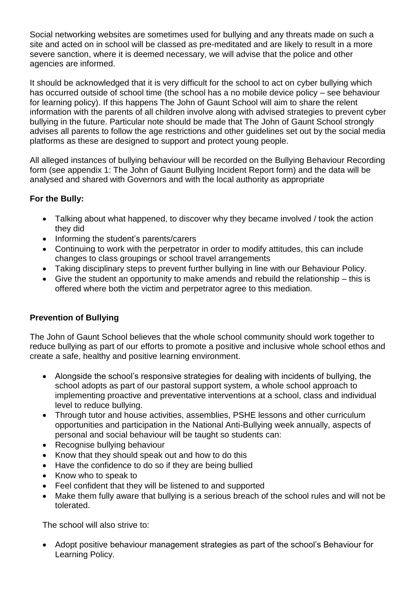Social networking websites are sometimes used for bullying and any threats made on such a site and acted on in school will be classed as pre-meditated and are likely to result in a more severe sanction, where it is deemed necessary, we will advise that the police and other agencies are informed.

It should be acknowledged that it is very difficult for the school to act on cyber bullying which has occurred outside of school time (the school has a no mobile device policy – see behaviour for learning policy). If this happens The John of Gaunt School will aim to share the relent information with the parents of all children involve along with advised strategies to prevent cyber bullying in the future. Particular note should be made that The John of Gaunt School strongly advises all parents to follow the age restrictions and other guidelines set out by the social media platforms as these are designed to support and protect young people.

All alleged instances of bullying behaviour will be recorded on the Bullying Behaviour Recording form (see appendix 1: The John of Gaunt Bullying Incident Report form) and the data will be analysed and shared with Governors and with the local authority as appropriate

## **For the Bully:**

- Talking about what happened, to discover why they became involved / took the action they did
- Informing the student's parents/carers
- Continuing to work with the perpetrator in order to modify attitudes, this can include changes to class groupings or school travel arrangements
- Taking disciplinary steps to prevent further bullying in line with our Behaviour Policy.
- Give the student an opportunity to make amends and rebuild the relationship this is offered where both the victim and perpetrator agree to this mediation.

## **Prevention of Bullying**

The John of Gaunt School believes that the whole school community should work together to reduce bullying as part of our efforts to promote a positive and inclusive whole school ethos and create a safe, healthy and positive learning environment.

- Alongside the school's responsive strategies for dealing with incidents of bullying, the school adopts as part of our pastoral support system, a whole school approach to implementing proactive and preventative interventions at a school, class and individual level to reduce bullying.
- Through tutor and house activities, assemblies, PSHE lessons and other curriculum opportunities and participation in the National Anti-Bullying week annually, aspects of personal and social behaviour will be taught so students can:
- Recognise bullying behaviour
- Know that they should speak out and how to do this
- Have the confidence to do so if they are being bullied
- Know who to speak to
- Feel confident that they will be listened to and supported
- Make them fully aware that bullying is a serious breach of the school rules and will not be tolerated.

The school will also strive to:

• Adopt positive behaviour management strategies as part of the school's Behaviour for Learning Policy.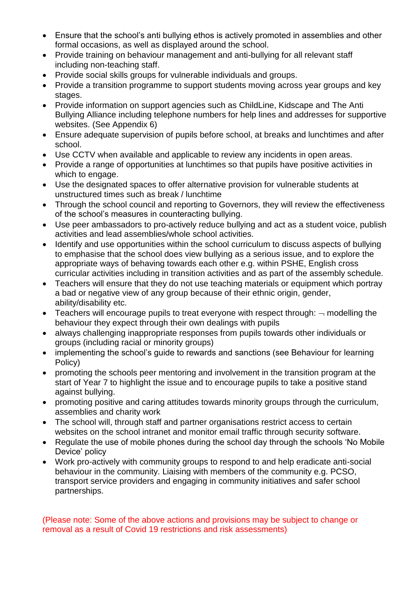- Ensure that the school's anti bullying ethos is actively promoted in assemblies and other formal occasions, as well as displayed around the school.
- Provide training on behaviour management and anti-bullying for all relevant staff including non-teaching staff.
- Provide social skills groups for vulnerable individuals and groups.
- Provide a transition programme to support students moving across year groups and key stages.
- Provide information on support agencies such as ChildLine, Kidscape and The Anti Bullying Alliance including telephone numbers for help lines and addresses for supportive websites. (See Appendix 6)
- Ensure adequate supervision of pupils before school, at breaks and lunchtimes and after school.
- Use CCTV when available and applicable to review any incidents in open areas.
- Provide a range of opportunities at lunchtimes so that pupils have positive activities in which to engage.
- Use the designated spaces to offer alternative provision for vulnerable students at unstructured times such as break / lunchtime
- Through the school council and reporting to Governors, they will review the effectiveness of the school's measures in counteracting bullying.
- Use peer ambassadors to pro-actively reduce bullying and act as a student voice, publish activities and lead assemblies/whole school activities.
- Identify and use opportunities within the school curriculum to discuss aspects of bullying to emphasise that the school does view bullying as a serious issue, and to explore the appropriate ways of behaving towards each other e.g. within PSHE, English cross curricular activities including in transition activities and as part of the assembly schedule.
- Teachers will ensure that they do not use teaching materials or equipment which portray a bad or negative view of any group because of their ethnic origin, gender, ability/disability etc.
- Teachers will encourage pupils to treat everyone with respect through:  $\neg$  modelling the behaviour they expect through their own dealings with pupils
- always challenging inappropriate responses from pupils towards other individuals or groups (including racial or minority groups)
- implementing the school's guide to rewards and sanctions (see Behaviour for learning Policy)
- promoting the schools peer mentoring and involvement in the transition program at the start of Year 7 to highlight the issue and to encourage pupils to take a positive stand against bullying.
- promoting positive and caring attitudes towards minority groups through the curriculum, assemblies and charity work
- The school will, through staff and partner organisations restrict access to certain websites on the school intranet and monitor email traffic through security software.
- Regulate the use of mobile phones during the school day through the schools 'No Mobile Device' policy
- Work pro-actively with community groups to respond to and help eradicate anti-social behaviour in the community. Liaising with members of the community e.g. PCSO, transport service providers and engaging in community initiatives and safer school partnerships.

(Please note: Some of the above actions and provisions may be subject to change or removal as a result of Covid 19 restrictions and risk assessments)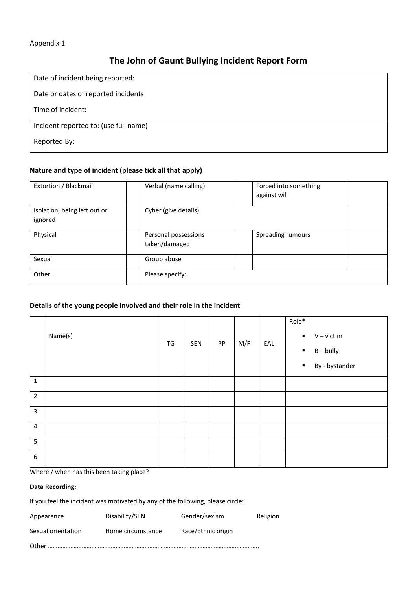#### Appendix 1

## **The John of Gaunt Bullying Incident Report Form**

| Date of incident being reported:      |
|---------------------------------------|
| Date or dates of reported incidents   |
| Time of incident:                     |
| Incident reported to: (use full name) |
| Reported By:                          |

#### **Nature and type of incident (please tick all that apply)**

| Extortion / Blackmail        | Verbal (name calling) | Forced into something<br>against will |  |
|------------------------------|-----------------------|---------------------------------------|--|
|                              |                       |                                       |  |
| Isolation, being left out or | Cyber (give details)  |                                       |  |
| ignored                      |                       |                                       |  |
|                              |                       |                                       |  |
| Physical                     | Personal possessions  | Spreading rumours                     |  |
|                              | taken/damaged         |                                       |  |
| Sexual                       | Group abuse           |                                       |  |
|                              |                       |                                       |  |
| Other                        | Please specify:       |                                       |  |

#### **Details of the young people involved and their role in the incident**

|                         | Name(s) | TG | SEN | PP | M/F | EAL | Role*<br>$V -$ victim<br>$\blacksquare$<br>$\blacksquare$ B – bully<br>By - bystander<br>$\blacksquare$ |
|-------------------------|---------|----|-----|----|-----|-----|---------------------------------------------------------------------------------------------------------|
| $\mathbf{1}$            |         |    |     |    |     |     |                                                                                                         |
| $\overline{2}$          |         |    |     |    |     |     |                                                                                                         |
| $\overline{3}$          |         |    |     |    |     |     |                                                                                                         |
| $\overline{\mathbf{4}}$ |         |    |     |    |     |     |                                                                                                         |
| 5                       |         |    |     |    |     |     |                                                                                                         |
| 6                       |         |    |     |    |     |     |                                                                                                         |

Where / when has this been taking place?

#### **Data Recording:**

If you feel the incident was motivated by any of the following, please circle:

| Appearance         | Disability/SEN    | Gender/sexism      | Religion |
|--------------------|-------------------|--------------------|----------|
| Sexual orientation | Home circumstance | Race/Ethnic origin |          |
|                    |                   |                    |          |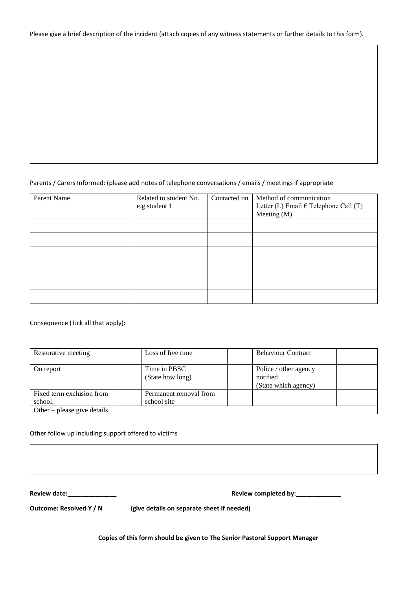#### Please give a brief description of the incident (attach copies of any witness statements or further details to this form).

#### Parents / Carers Informed: (please add notes of telephone conversations / emails / meetings if appropriate

| Parent Name | Related to student No.<br>e.g student 1 | Contacted on | Method of communication<br>Letter (L) Email $\in$ Telephone Call (T)<br>Meeting $(M)$ |
|-------------|-----------------------------------------|--------------|---------------------------------------------------------------------------------------|
|             |                                         |              |                                                                                       |
|             |                                         |              |                                                                                       |
|             |                                         |              |                                                                                       |
|             |                                         |              |                                                                                       |
|             |                                         |              |                                                                                       |
|             |                                         |              |                                                                                       |

Consequence (Tick all that apply):

| Restorative meeting                  | Loss of free time                     | <b>Behaviour Contract</b>                                 |
|--------------------------------------|---------------------------------------|-----------------------------------------------------------|
| On report                            | Time in PBSC<br>(State how long)      | Police / other agency<br>notified<br>(State which agency) |
| Fixed term exclusion from<br>school. | Permanent removal from<br>school site |                                                           |
| Other – please give details          |                                       |                                                           |

#### Other follow up including support offered to victims

**Review date:\_\_\_\_\_\_\_\_\_\_\_\_\_\_ Review completed by:\_\_\_\_\_\_\_\_\_\_\_\_\_**

**Outcome: Resolved Y / N** (give details on separate sheet if needed)

**Copies of this form should be given to The Senior Pastoral Support Manager**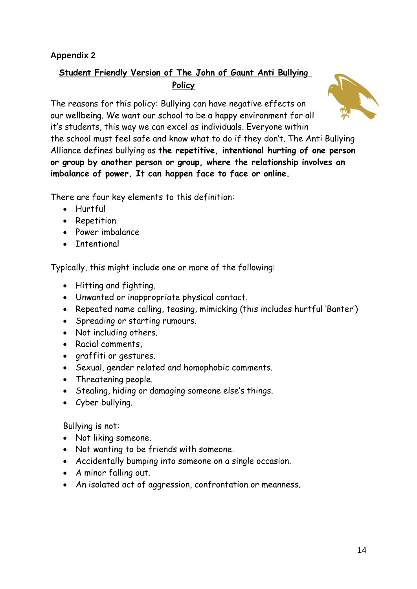## **Appendix 2**

## **Student Friendly Version of The John of Gaunt Anti Bullying Policy**

The reasons for this policy: Bullying can have negative effects on our wellbeing. We want our school to be a happy environment for all it's students, this way we can excel as individuals. Everyone within the school must feel safe and know what to do if they don't. The Anti Bullying Alliance defines bullying as **the repetitive, intentional hurting of one person or group by another person or group, where the relationship involves an imbalance of power. It can happen face to face or online.**

There are four key elements to this definition:

- Hurtful
- Repetition
- Power imbalance
- Intentional

Typically, this might include one or more of the following:

- Hitting and fighting.
- Unwanted or inappropriate physical contact.
- Repeated name calling, teasing, mimicking (this includes hurtful 'Banter')
- Spreading or starting rumours.
- Not including others.
- Racial comments,
- graffiti or gestures.
- Sexual, gender related and homophobic comments.
- Threatening people.
- Stealing, hiding or damaging someone else's things.
- Cyber bullying.

Bullying is not:

- Not liking someone.
- Not wanting to be friends with someone.
- Accidentally bumping into someone on a single occasion.
- A minor falling out.
- An isolated act of aggression, confrontation or meanness.

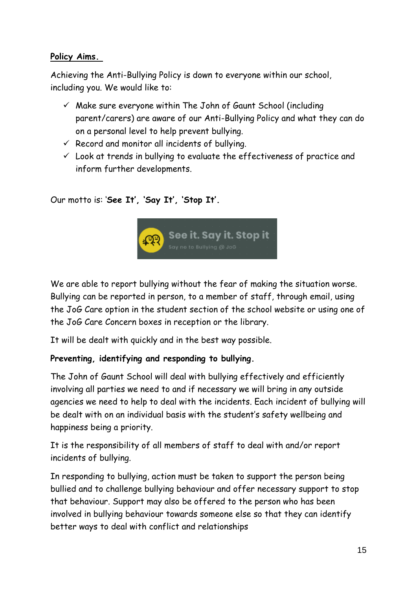## **Policy Aims.**

Achieving the Anti-Bullying Policy is down to everyone within our school, including you. We would like to:

- $\checkmark$  Make sure everyone within The John of Gaunt School (including parent/carers) are aware of our Anti-Bullying Policy and what they can do on a personal level to help prevent bullying.
- $\checkmark$  Record and monitor all incidents of bullying.
- $\checkmark$  Look at trends in bullying to evaluate the effectiveness of practice and inform further developments.

Our motto is: '**See It', 'Say It', 'Stop It'.** 



We are able to report bullying without the fear of making the situation worse. Bullying can be reported in person, to a member of staff, through email, using the JoG Care option in the student section of the school website or using one of the JoG Care Concern boxes in reception or the library.

It will be dealt with quickly and in the best way possible.

## **Preventing, identifying and responding to bullying.**

The John of Gaunt School will deal with bullying effectively and efficiently involving all parties we need to and if necessary we will bring in any outside agencies we need to help to deal with the incidents. Each incident of bullying will be dealt with on an individual basis with the student's safety wellbeing and happiness being a priority.

It is the responsibility of all members of staff to deal with and/or report incidents of bullying.

In responding to bullying, action must be taken to support the person being bullied and to challenge bullying behaviour and offer necessary support to stop that behaviour. Support may also be offered to the person who has been involved in bullying behaviour towards someone else so that they can identify better ways to deal with conflict and relationships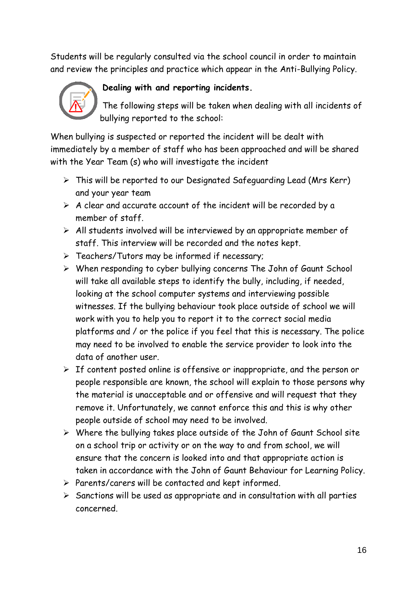Students will be regularly consulted via the school council in order to maintain and review the principles and practice which appear in the Anti-Bullying Policy.



## **Dealing with and reporting incidents.**

The following steps will be taken when dealing with all incidents of bullying reported to the school:

When bullying is suspected or reported the incident will be dealt with immediately by a member of staff who has been approached and will be shared with the Year Team (s) who will investigate the incident

- ➢ This will be reported to our Designated Safeguarding Lead (Mrs Kerr) and your year team
- $\triangleright$  A clear and accurate account of the incident will be recorded by a member of staff.
- $\triangleright$  All students involved will be interviewed by an appropriate member of staff. This interview will be recorded and the notes kept.
- ➢ Teachers/Tutors may be informed if necessary;
- ➢ When responding to cyber bullying concerns The John of Gaunt School will take all available steps to identify the bully, including, if needed, looking at the school computer systems and interviewing possible witnesses. If the bullying behaviour took place outside of school we will work with you to help you to report it to the correct social media platforms and / or the police if you feel that this is necessary. The police may need to be involved to enable the service provider to look into the data of another user.
- $\triangleright$  If content posted online is offensive or inappropriate, and the person or people responsible are known, the school will explain to those persons why the material is unacceptable and or offensive and will request that they remove it. Unfortunately, we cannot enforce this and this is why other people outside of school may need to be involved.
- ➢ Where the bullying takes place outside of the John of Gaunt School site on a school trip or activity or on the way to and from school, we will ensure that the concern is looked into and that appropriate action is taken in accordance with the John of Gaunt Behaviour for Learning Policy.
- ➢ Parents/carers will be contacted and kept informed.
- $\triangleright$  Sanctions will be used as appropriate and in consultation with all parties concerned.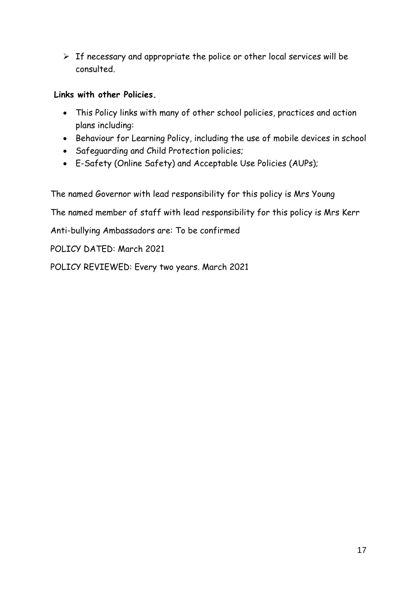$\triangleright$  If necessary and appropriate the police or other local services will be consulted.

## **Links with other Policies.**

- This Policy links with many of other school policies, practices and action plans including:
- Behaviour for Learning Policy, including the use of mobile devices in school
- Safeguarding and Child Protection policies;
- E-Safety (Online Safety) and Acceptable Use Policies (AUPs);

The named Governor with lead responsibility for this policy is Mrs Young

The named member of staff with lead responsibility for this policy is Mrs Kerr

Anti-bullying Ambassadors are: To be confirmed

POLICY DATED: March 2021

POLICY REVIEWED: Every two years. March 2021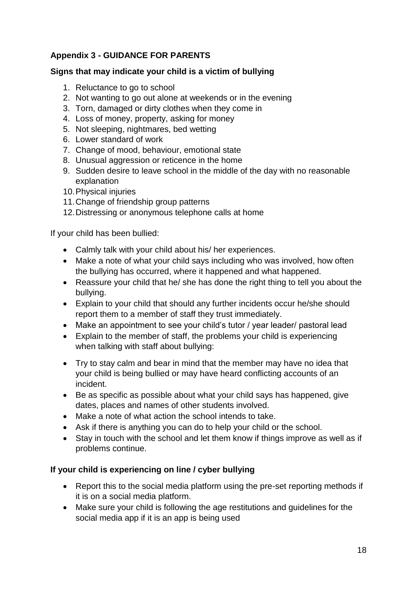## **Appendix 3 - GUIDANCE FOR PARENTS**

## **Signs that may indicate your child is a victim of bullying**

- 1. Reluctance to go to school
- 2. Not wanting to go out alone at weekends or in the evening
- 3. Torn, damaged or dirty clothes when they come in
- 4. Loss of money, property, asking for money
- 5. Not sleeping, nightmares, bed wetting
- 6. Lower standard of work
- 7. Change of mood, behaviour, emotional state
- 8. Unusual aggression or reticence in the home
- 9. Sudden desire to leave school in the middle of the day with no reasonable explanation
- 10.Physical injuries
- 11.Change of friendship group patterns
- 12.Distressing or anonymous telephone calls at home

If your child has been bullied:

- Calmly talk with your child about his/ her experiences.
- Make a note of what your child says including who was involved, how often the bullying has occurred, where it happened and what happened.
- Reassure your child that he/ she has done the right thing to tell you about the bullying.
- Explain to your child that should any further incidents occur he/she should report them to a member of staff they trust immediately.
- Make an appointment to see your child's tutor / year leader/ pastoral lead
- Explain to the member of staff, the problems your child is experiencing when talking with staff about bullying:
- Try to stay calm and bear in mind that the member may have no idea that your child is being bullied or may have heard conflicting accounts of an incident.
- Be as specific as possible about what your child says has happened, give dates, places and names of other students involved.
- Make a note of what action the school intends to take.
- Ask if there is anything you can do to help your child or the school.
- Stay in touch with the school and let them know if things improve as well as if problems continue.

## **If your child is experiencing on line / cyber bullying**

- Report this to the social media platform using the pre-set reporting methods if it is on a social media platform.
- Make sure your child is following the age restitutions and guidelines for the social media app if it is an app is being used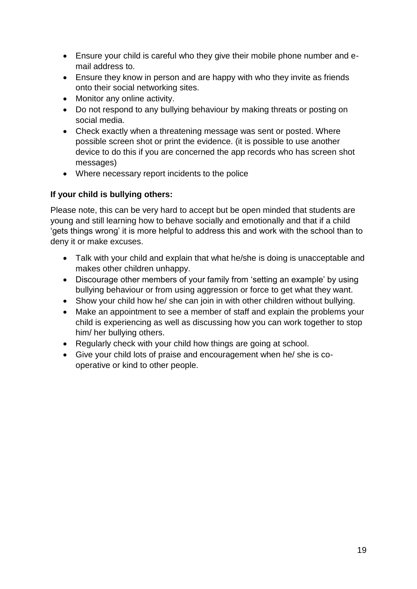- Ensure your child is careful who they give their mobile phone number and email address to.
- Ensure they know in person and are happy with who they invite as friends onto their social networking sites.
- Monitor any online activity.
- Do not respond to any bullying behaviour by making threats or posting on social media.
- Check exactly when a threatening message was sent or posted. Where possible screen shot or print the evidence. (it is possible to use another device to do this if you are concerned the app records who has screen shot messages)
- Where necessary report incidents to the police

## **If your child is bullying others:**

Please note, this can be very hard to accept but be open minded that students are young and still learning how to behave socially and emotionally and that if a child 'gets things wrong' it is more helpful to address this and work with the school than to deny it or make excuses.

- Talk with your child and explain that what he/she is doing is unacceptable and makes other children unhappy.
- Discourage other members of your family from 'setting an example' by using bullying behaviour or from using aggression or force to get what they want.
- Show your child how he/ she can join in with other children without bullying.
- Make an appointment to see a member of staff and explain the problems your child is experiencing as well as discussing how you can work together to stop him/ her bullying others.
- Regularly check with your child how things are going at school.
- Give your child lots of praise and encouragement when he/ she is cooperative or kind to other people.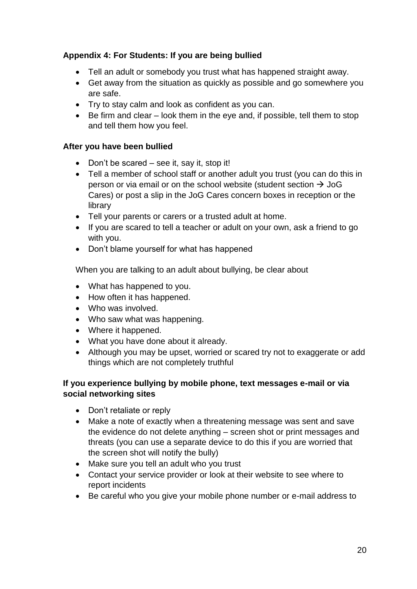## **Appendix 4: For Students: If you are being bullied**

- Tell an adult or somebody you trust what has happened straight away.
- Get away from the situation as quickly as possible and go somewhere you are safe.
- Try to stay calm and look as confident as you can.
- Be firm and clear look them in the eye and, if possible, tell them to stop and tell them how you feel.

## **After you have been bullied**

- Don't be scared see it, say it, stop it!
- Tell a member of school staff or another adult you trust (you can do this in person or via email or on the school website (student section  $\rightarrow$  JoG Cares) or post a slip in the JoG Cares concern boxes in reception or the library
- Tell your parents or carers or a trusted adult at home.
- If you are scared to tell a teacher or adult on your own, ask a friend to go with you.
- Don't blame yourself for what has happened

When you are talking to an adult about bullying, be clear about

- What has happened to you.
- How often it has happened.
- Who was involved.
- Who saw what was happening.
- Where it happened.
- What you have done about it already.
- Although you may be upset, worried or scared try not to exaggerate or add things which are not completely truthful

## **If you experience bullying by mobile phone, text messages e-mail or via social networking sites**

- Don't retaliate or reply
- Make a note of exactly when a threatening message was sent and save the evidence do not delete anything – screen shot or print messages and threats (you can use a separate device to do this if you are worried that the screen shot will notify the bully)
- Make sure you tell an adult who you trust
- Contact your service provider or look at their website to see where to report incidents
- Be careful who you give your mobile phone number or e-mail address to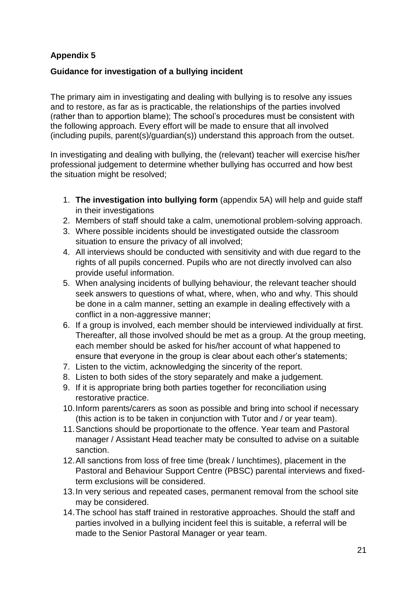## **Appendix 5**

## **Guidance for investigation of a bullying incident**

The primary aim in investigating and dealing with bullying is to resolve any issues and to restore, as far as is practicable, the relationships of the parties involved (rather than to apportion blame); The school's procedures must be consistent with the following approach. Every effort will be made to ensure that all involved (including pupils, parent(s)/guardian(s)) understand this approach from the outset.

In investigating and dealing with bullying, the (relevant) teacher will exercise his/her professional judgement to determine whether bullying has occurred and how best the situation might be resolved;

- 1. **The investigation into bullying form** (appendix 5A) will help and guide staff in their investigations
- 2. Members of staff should take a calm, unemotional problem-solving approach.
- 3. Where possible incidents should be investigated outside the classroom situation to ensure the privacy of all involved;
- 4. All interviews should be conducted with sensitivity and with due regard to the rights of all pupils concerned. Pupils who are not directly involved can also provide useful information.
- 5. When analysing incidents of bullying behaviour, the relevant teacher should seek answers to questions of what, where, when, who and why. This should be done in a calm manner, setting an example in dealing effectively with a conflict in a non-aggressive manner;
- 6. If a group is involved, each member should be interviewed individually at first. Thereafter, all those involved should be met as a group. At the group meeting, each member should be asked for his/her account of what happened to ensure that everyone in the group is clear about each other's statements;
- 7. Listen to the victim, acknowledging the sincerity of the report.
- 8. Listen to both sides of the story separately and make a judgement.
- 9. If it is appropriate bring both parties together for reconciliation using restorative practice.
- 10.Inform parents/carers as soon as possible and bring into school if necessary (this action is to be taken in conjunction with Tutor and / or year team).
- 11.Sanctions should be proportionate to the offence. Year team and Pastoral manager / Assistant Head teacher maty be consulted to advise on a suitable sanction.
- 12.All sanctions from loss of free time (break / lunchtimes), placement in the Pastoral and Behaviour Support Centre (PBSC) parental interviews and fixedterm exclusions will be considered.
- 13.In very serious and repeated cases, permanent removal from the school site may be considered.
- 14.The school has staff trained in restorative approaches. Should the staff and parties involved in a bullying incident feel this is suitable, a referral will be made to the Senior Pastoral Manager or year team.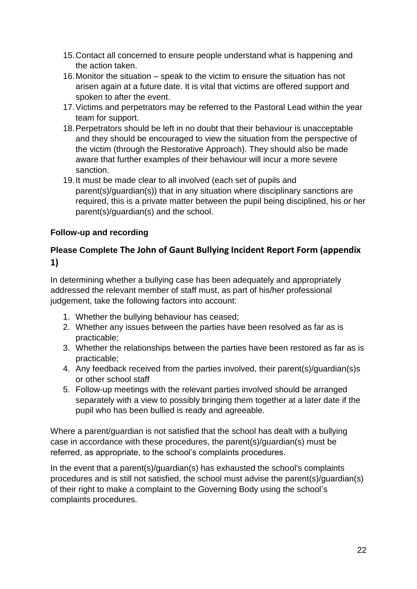- 15.Contact all concerned to ensure people understand what is happening and the action taken.
- 16.Monitor the situation speak to the victim to ensure the situation has not arisen again at a future date. It is vital that victims are offered support and spoken to after the event.
- 17.Victims and perpetrators may be referred to the Pastoral Lead within the year team for support.
- 18.Perpetrators should be left in no doubt that their behaviour is unacceptable and they should be encouraged to view the situation from the perspective of the victim (through the Restorative Approach). They should also be made aware that further examples of their behaviour will incur a more severe sanction.
- 19.It must be made clear to all involved (each set of pupils and parent(s)/guardian(s)) that in any situation where disciplinary sanctions are required, this is a private matter between the pupil being disciplined, his or her parent(s)/guardian(s) and the school.

## **Follow-up and recording**

## **Please Complete The John of Gaunt Bullying Incident Report Form (appendix 1)**

In determining whether a bullying case has been adequately and appropriately addressed the relevant member of staff must, as part of his/her professional judgement, take the following factors into account:

- 1. Whether the bullying behaviour has ceased;
- 2. Whether any issues between the parties have been resolved as far as is practicable;
- 3. Whether the relationships between the parties have been restored as far as is practicable;
- 4. Any feedback received from the parties involved, their parent(s)/guardian(s)s or other school staff
- 5. Follow-up meetings with the relevant parties involved should be arranged separately with a view to possibly bringing them together at a later date if the pupil who has been bullied is ready and agreeable.

Where a parent/guardian is not satisfied that the school has dealt with a bullying case in accordance with these procedures, the parent(s)/guardian(s) must be referred, as appropriate, to the school's complaints procedures.

In the event that a parent(s)/guardian(s) has exhausted the school's complaints procedures and is still not satisfied, the school must advise the parent(s)/guardian(s) of their right to make a complaint to the Governing Body using the school's complaints procedures.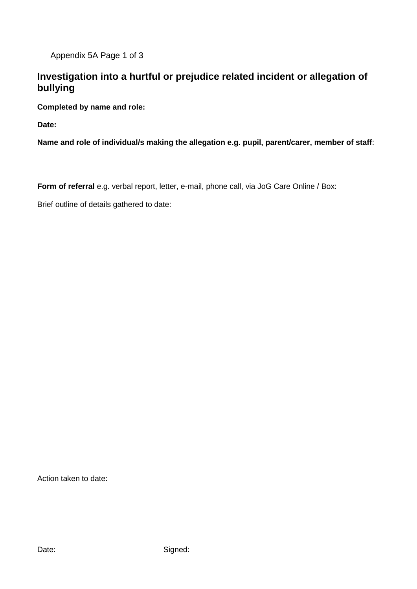Appendix 5A Page 1 of 3

## **Investigation into a hurtful or prejudice related incident or allegation of bullying**

**Completed by name and role:**

**Date:**

**Name and role of individual/s making the allegation e.g. pupil, parent/carer, member of staff**:

**Form of referral** e.g. verbal report, letter, e-mail, phone call, via JoG Care Online / Box:

Brief outline of details gathered to date:

Action taken to date: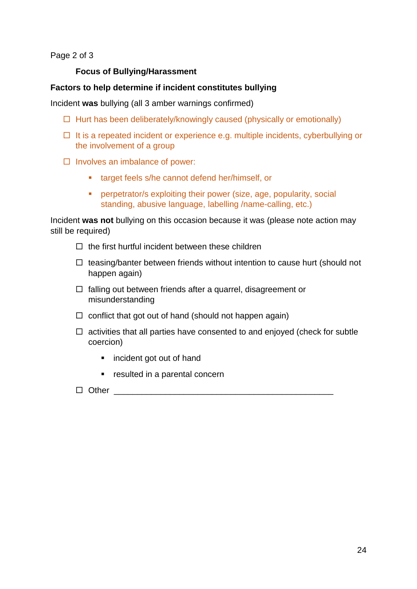Page 2 of 3

#### **Focus of Bullying/Harassment**

#### **Factors to help determine if incident constitutes bullying**

Incident **was** bullying (all 3 amber warnings confirmed)

- $\Box$  Hurt has been deliberately/knowingly caused (physically or emotionally)
- $\Box$  It is a repeated incident or experience e.g. multiple incidents, cyberbullying or the involvement of a group
- $\Box$  Involves an imbalance of power:
	- target feels s/he cannot defend her/himself, or
	- **•** perpetrator/s exploiting their power (size, age, popularity, social standing, abusive language, labelling /name-calling, etc.)

Incident **was not** bullying on this occasion because it was (please note action may still be required)

- $\Box$  the first hurtful incident between these children
- $\Box$  teasing/banter between friends without intention to cause hurt (should not happen again)
- $\Box$  falling out between friends after a quarrel, disagreement or misunderstanding
- $\Box$  conflict that got out of hand (should not happen again)
- $\Box$  activities that all parties have consented to and enjoyed (check for subtle coercion)
	- incident got out of hand
	- resulted in a parental concern

#### Other \_\_\_\_\_\_\_\_\_\_\_\_\_\_\_\_\_\_\_\_\_\_\_\_\_\_\_\_\_\_\_\_\_\_\_\_\_\_\_\_\_\_\_\_\_\_\_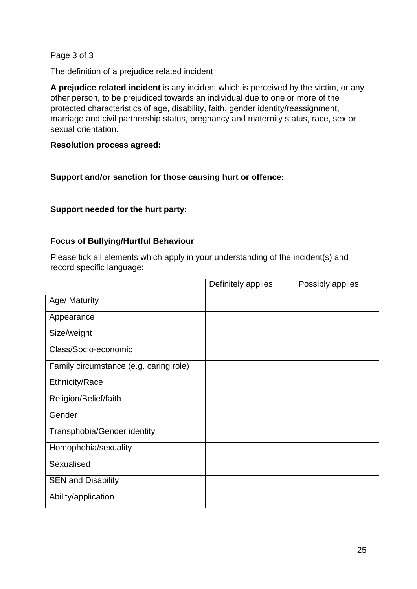#### Page 3 of 3

The definition of a prejudice related incident

**A prejudice related incident** is any incident which is perceived by the victim, or any other person, to be prejudiced towards an individual due to one or more of the protected characteristics of age, disability, faith, gender identity/reassignment, marriage and civil partnership status, pregnancy and maternity status, race, sex or sexual orientation.

#### **Resolution process agreed:**

## **Support and/or sanction for those causing hurt or offence:**

## **Support needed for the hurt party:**

#### **Focus of Bullying/Hurtful Behaviour**

Please tick all elements which apply in your understanding of the incident(s) and record specific language:

|                                        | Definitely applies | Possibly applies |
|----------------------------------------|--------------------|------------------|
| Age/ Maturity                          |                    |                  |
| Appearance                             |                    |                  |
| Size/weight                            |                    |                  |
| Class/Socio-economic                   |                    |                  |
| Family circumstance (e.g. caring role) |                    |                  |
| <b>Ethnicity/Race</b>                  |                    |                  |
| Religion/Belief/faith                  |                    |                  |
| Gender                                 |                    |                  |
| <b>Transphobia/Gender identity</b>     |                    |                  |
| Homophobia/sexuality                   |                    |                  |
| Sexualised                             |                    |                  |
| <b>SEN and Disability</b>              |                    |                  |
| Ability/application                    |                    |                  |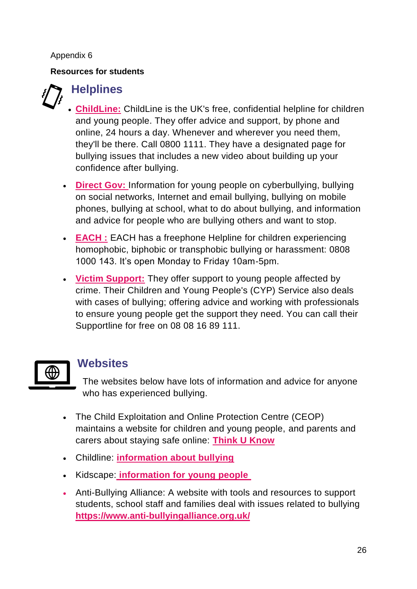## Appendix 6

## **Resources for students**

# **Helplines**

- **[ChildLine:](http://www.childline.org.uk/)** ChildLine is the UK's free, confidential helpline for children and young people. They offer advice and support, by phone and online, 24 hours a day. Whenever and wherever you need them, they'll be there. Call 0800 1111. They have a designated page for bullying issues that includes a new video about building up your confidence after bullying.
- **[Direct Gov:](http://www.direct.gov.uk/en/YoungPeople/HealthAndRelationships/Bullying/index.htm)** Information for young people on cyberbullying, bullying on social networks, Internet and email bullying, bullying on mobile phones, bullying at school, what to do about bullying, and information and advice for people who are bullying others and want to stop.
- **[EACH :](http://each.education/homophobic-transphobic-helpline)** EACH has a freephone Helpline for children experiencing homophobic, biphobic or transphobic bullying or harassment: 0808 1000 143. It's open Monday to Friday 10am-5pm.
- **[Victim Support:](https://www.victimsupport.org.uk/more-us/why-choose-us/specialist-services/children-and-young-people)** They offer support to young people affected by crime. Their Children and Young People's (CYP) Service also deals with cases of bullying; offering advice and working with professionals to ensure young people get the support they need. You can call their Supportline for free on 08 08 16 89 111.



## **Websites**

The websites below have lots of information and advice for anyone who has experienced bullying.

- The Child Exploitation and Online Protection Centre (CEOP) maintains a website for children and young people, and parents and carers about staying safe online: **[Think U Know](https://www.thinkuknow.co.uk/)**
- Childline: **[information about bullying](http://www.bullying.co.uk/index.php/young-people/advice/introduction-to-bullying.html)**
- Kidscape: **[information for young people](https://www.kidscape.org.uk/advice/advice-for-young-people/dealing-with-bullying/)**
- Anti-Bullying Alliance: A website with tools and resources to support students, school staff and families deal with issues related to bullying **https://www.anti-bullyingalliance.org.uk/**